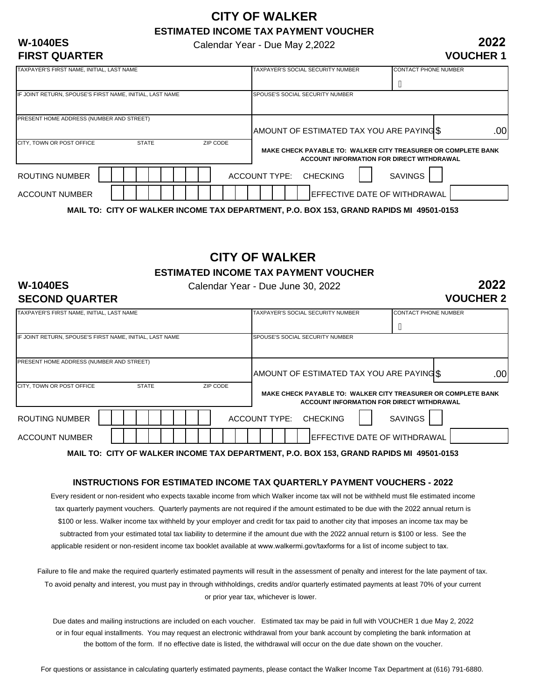### **CITY OF WALKER ESTIMATED INCOME TAX PAYMENT VOUCHER**

Calendar Year - Due May 2,2022

#### **2022 VOUCHER 1**

| <b>W-1040ES</b> |                      |
|-----------------|----------------------|
|                 | <b>FIRST QUARTER</b> |

| TAXPAYER'S FIRST NAME, INITIAL, LAST NAME                |              |          | TAXPAYER'S SOCIAL SECURITY NUMBER                                                      | <b>CONTACT PHONE NUMBER</b>                                                                                |
|----------------------------------------------------------|--------------|----------|----------------------------------------------------------------------------------------|------------------------------------------------------------------------------------------------------------|
|                                                          |              |          |                                                                                        | $\overline{\mathsf{A}}$                                                                                    |
| IF JOINT RETURN, SPOUSE'S FIRST NAME, INITIAL, LAST NAME |              |          | SPOUSE'S SOCIAL SECURITY NUMBER                                                        |                                                                                                            |
| PRESENT HOME ADDRESS (NUMBER AND STREET)                 |              |          |                                                                                        |                                                                                                            |
|                                                          |              |          | AMOUNT OF ESTIMATED TAX YOU ARE PAYING \$                                              | .00                                                                                                        |
| CITY, TOWN OR POST OFFICE                                | <b>STATE</b> | ZIP CODE |                                                                                        | MAKE CHECK PAYABLE TO: WALKER CITY TREASURER OR COMPLETE BANK<br>ACCOUNT INFORMATION FOR DIRECT WITHDRAWAL |
| ROUTING NUMBER                                           |              |          | <b>ACCOUNT TYPE:</b><br>CHECKING                                                       | <b>SAVINGS</b>                                                                                             |
| <b>ACCOUNT NUMBER</b>                                    |              |          |                                                                                        | EFFECTIVE DATE OF WITHDRAWAL                                                                               |
|                                                          |              |          | MAIL TO: CITY OF WAI KED INCOME TAY DEDADTMENT D O ROY 153, CDAND DADIDS ML 40501.0153 |                                                                                                            |

**MAIL TO: CITY OF WALKER INCOME TAX DEPARTMENT, P.O. BOX 153, GRAND RAPIDS MI 49501-0153**

# **CITY OF WALKER**

**ESTIMATED INCOME TAX PAYMENT VOUCHER**

#### **W-1040ES SECOND QUARTER**

Calendar Year - Due June 30, 2022

**2022 VOUCHER 2**

| TAXPAYER'S FIRST NAME, INITIAL, LAST NAME                |          | TAXPAYER'S SOCIAL SECURITY NUMBER                                                       | <b>CONTACT PHONE NUMBER</b>               |     |
|----------------------------------------------------------|----------|-----------------------------------------------------------------------------------------|-------------------------------------------|-----|
|                                                          |          |                                                                                         | A                                         |     |
|                                                          |          |                                                                                         |                                           |     |
| IF JOINT RETURN, SPOUSE'S FIRST NAME, INITIAL, LAST NAME |          | SPOUSE'S SOCIAL SECURITY NUMBER                                                         |                                           |     |
|                                                          |          |                                                                                         |                                           |     |
| PRESENT HOME ADDRESS (NUMBER AND STREET)                 |          |                                                                                         |                                           |     |
|                                                          |          | AMOUNT OF ESTIMATED TAX YOU ARE PAYING \$                                               |                                           | .00 |
|                                                          |          |                                                                                         |                                           |     |
| CITY, TOWN OR POST OFFICE<br><b>STATE</b>                | ZIP CODE |                                                                                         |                                           |     |
|                                                          |          | MAKE CHECK PAYABLE TO: WALKER CITY TREASURER OR COMPLETE BANK                           |                                           |     |
|                                                          |          |                                                                                         | ACCOUNT INFORMATION FOR DIRECT WITHDRAWAL |     |
|                                                          |          |                                                                                         |                                           |     |
| ROUTING NUMBER                                           |          | ACCOUNT TYPE: CHECKING                                                                  | <b>SAVINGS</b>                            |     |
|                                                          |          |                                                                                         |                                           |     |
| <b>ACCOUNT NUMBER</b>                                    |          |                                                                                         | IEFFECTIVE DATE OF WITHDRAWAL             |     |
|                                                          |          | MAIL TO: CITY OF WALKER INCOME TAX DEPARTMENT, P.O. BOX 153, GRAND RAPIDS MI 49501-0153 |                                           |     |

#### **INSTRUCTIONS FOR ESTIMATED INCOME TAX QUARTERLY PAYMENT VOUCHERS - 2022**

Every resident or non-resident who expects taxable income from which Walker income tax will not be withheld must file estimated income tax quarterly payment vouchers. Quarterly payments are not required if the amount estimated to be due with the 2022 annual return is \$100 or less. Walker income tax withheld by your employer and credit for tax paid to another city that imposes an income tax may be subtracted from your estimated total tax liability to determine if the amount due with the 2022 annual return is \$100 or less. See the applicable resident or non-resident income tax booklet available at www.walkermi.gov/taxforms for a list of income subject to tax.

Failure to file and make the required quarterly estimated payments will result in the assessment of penalty and interest for the late payment of tax. To avoid penalty and interest, you must pay in through withholdings, credits and/or quarterly estimated payments at least 70% of your current or prior year tax, whichever is lower.

Due dates and mailing instructions are included on each voucher. Estimated tax may be paid in full with VOUCHER 1 due May 2, 2022 or in four equal installments. You may request an electronic withdrawal from your bank account by completing the bank information at the bottom of the form. If no effective date is listed, the withdrawal will occur on the due date shown on the voucher.

For questions or assistance in calculating quarterly estimated payments, please contact the Walker Income Tax Department at (616) 791-6880.